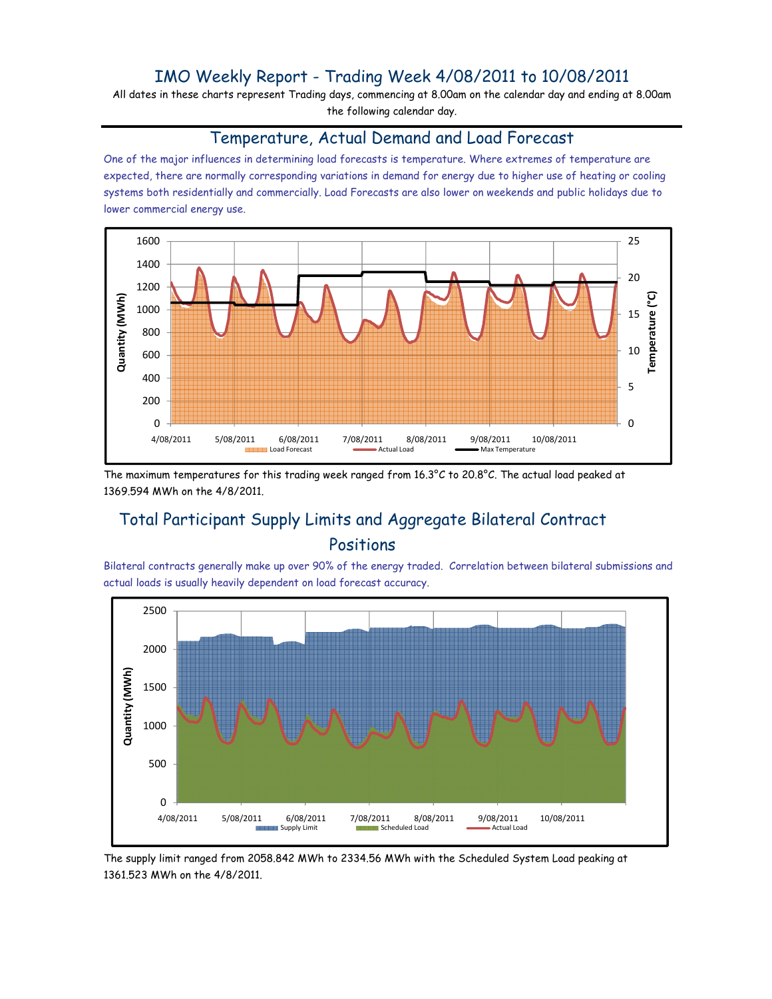## IMO Weekly Report - Trading Week 4/08/2011 to 10/08/2011

All dates in these charts represent Trading days, commencing at 8.00am on the calendar day and ending at 8.00am the following calendar day.

#### Temperature, Actual Demand and Load Forecast

One of the major influences in determining load forecasts is temperature. Where extremes of temperature are expected, there are normally corresponding variations in demand for energy due to higher use of heating or cooling systems both residentially and commercially. Load Forecasts are also lower on weekends and public holidays due to lower commercial energy use.



The maximum temperatures for this trading week ranged from 16.3°C to 20.8°C. The actual load peaked at 1369.594 MWh on the 4/8/2011.

# Total Participant Supply Limits and Aggregate Bilateral Contract Positions

Bilateral contracts generally make up over 90% of the energy traded. Correlation between bilateral submissions and actual loads is usually heavily dependent on load forecast accuracy.



The supply limit ranged from 2058.842 MWh to 2334.56 MWh with the Scheduled System Load peaking at 1361.523 MWh on the 4/8/2011.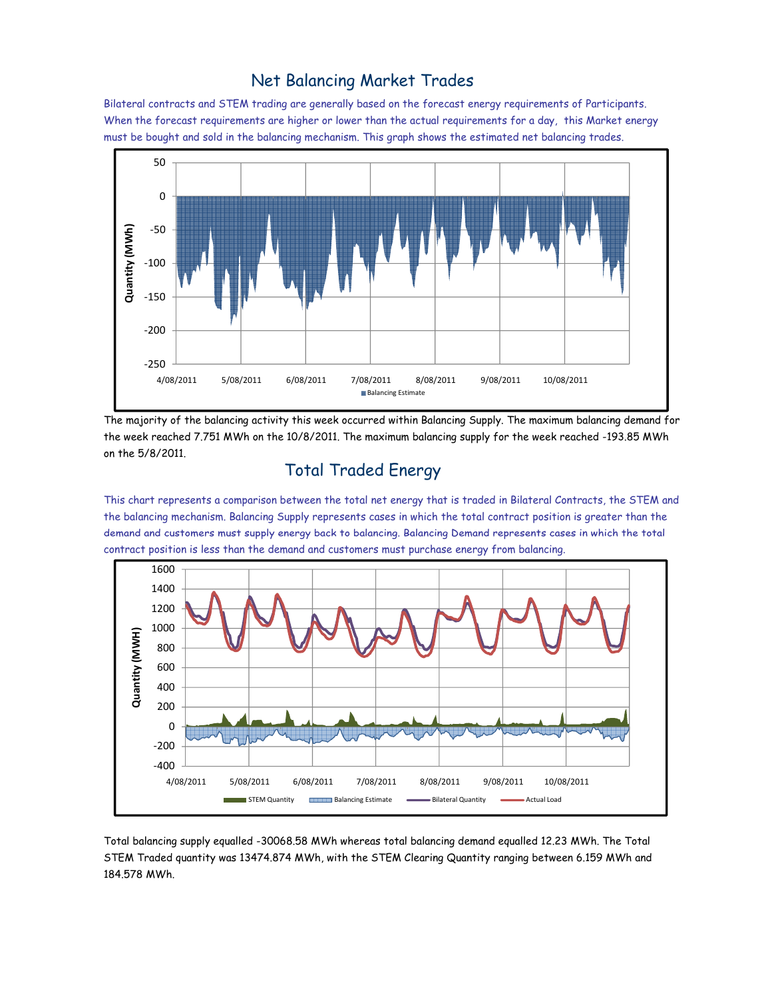### Net Balancing Market Trades

Bilateral contracts and STEM trading are generally based on the forecast energy requirements of Participants. When the forecast requirements are higher or lower than the actual requirements for a day, this Market energy must be bought and sold in the balancing mechanism. This graph shows the estimated net balancing trades.



The majority of the balancing activity this week occurred within Balancing Supply. The maximum balancing demand for the week reached 7.751 MWh on the 10/8/2011. The maximum balancing supply for the week reached -193.85 MWh on the 5/8/2011.

# Total Traded Energy

This chart represents a comparison between the total net energy that is traded in Bilateral Contracts, the STEM and the balancing mechanism. Balancing Supply represents cases in which the total contract position is greater than the demand and customers must supply energy back to balancing. Balancing Demand represents cases in which the total contract position is less than the demand and customers must purchase energy from balancing.



Total balancing supply equalled -30068.58 MWh whereas total balancing demand equalled 12.23 MWh. The Total STEM Traded quantity was 13474.874 MWh, with the STEM Clearing Quantity ranging between 6.159 MWh and 184.578 MWh.